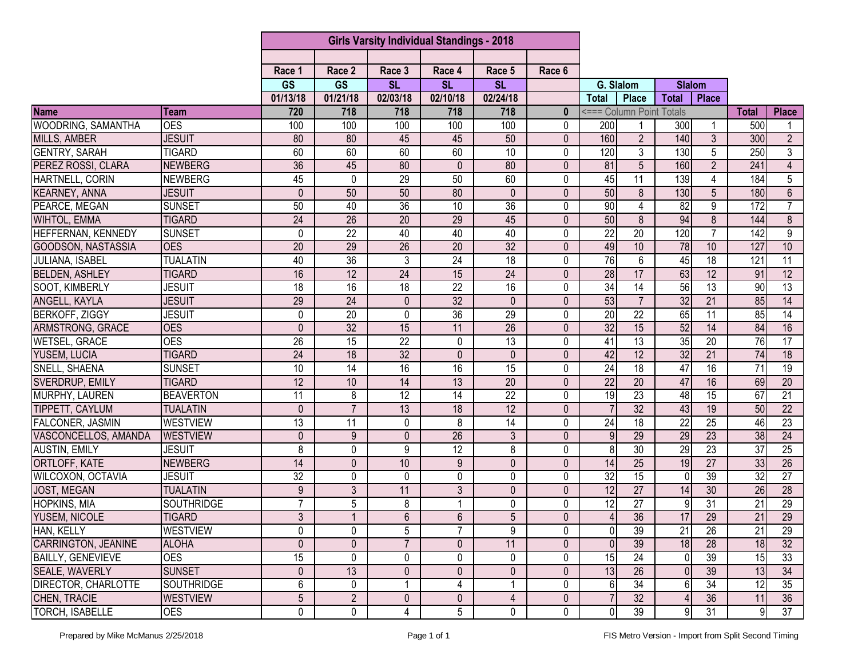|                          |                   | <b>Girls Varsity Individual Standings - 2018</b> |                 |                 |                 |                 |              |                 |                          |                 |                 |                 |                 |
|--------------------------|-------------------|--------------------------------------------------|-----------------|-----------------|-----------------|-----------------|--------------|-----------------|--------------------------|-----------------|-----------------|-----------------|-----------------|
|                          |                   |                                                  |                 |                 |                 |                 |              |                 |                          |                 |                 |                 |                 |
|                          |                   | Race 1                                           | Race 2          | Race 3          | Race 4          | Race 5          | Race 6       |                 |                          |                 |                 |                 |                 |
|                          |                   | <b>GS</b>                                        | <b>GS</b>       | <b>SL</b>       | <b>SL</b>       | <b>SL</b>       |              | G. Slalom       |                          | <b>Slalom</b>   |                 |                 |                 |
|                          |                   | 01/13/18                                         | 01/21/18        | 02/03/18        | 02/10/18        | 02/24/18        |              | <b>Total</b>    | <b>Place</b>             | <b>Total</b>    | <b>Place</b>    |                 |                 |
| <b>Name</b>              | Team              | 720                                              | 718             | 718             | 718             | 718             | $\mathbf{0}$ |                 | <=== Column Point Totals |                 |                 | <b>Total</b>    | <b>Place</b>    |
| WOODRING, SAMANTHA       | <b>OES</b>        | 100                                              | 100             | 100             | 100             | 100             | $\mathbf{0}$ | 200             |                          | 300             |                 | 500             | 1               |
| <b>MILLS, AMBER</b>      | <b>JESUIT</b>     | 80                                               | 80              | 45              | 45              | 50              | $\Omega$     | 160             | $\overline{2}$           | 140             | $\overline{3}$  | 300             | $\overline{2}$  |
| <b>GENTRY, SARAH</b>     | <b>TIGARD</b>     | 60                                               | 60              | 60              | 60              | 10              | $\Omega$     | 120             | 3                        | 130             | 5               | 250             | 3               |
| PEREZ ROSSI, CLARA       | <b>NEWBERG</b>    | $\overline{36}$                                  | 45              | 80              | $\mathbf{0}$    | 80              | $\mathbf{0}$ | 81              | 5                        | 160             | $\overline{2}$  | 241             | 4               |
| HARTNELL, CORIN          | <b>NEWBERG</b>    | 45                                               | 0               | 29              | 50              | 60              | $\Omega$     | 45              | $\overline{11}$          | 139             | 4               | 184             | $5\phantom{.0}$ |
| <b>KEARNEY, ANNA</b>     | <b>JESUIT</b>     | 0                                                | 50              | 50              | 80              | $\mathbf{0}$    | $\mathbf{0}$ | 50              | 8                        | 130             | 5               | 180             | $6\phantom{.}$  |
| PEARCE, MEGAN            | <b>SUNSET</b>     | 50                                               | 40              | $\overline{36}$ | 10              | $\overline{36}$ | $\mathbf{0}$ | 90              | 4                        | $\overline{82}$ | 9               | 172             | $\overline{7}$  |
| <b>WIHTOL, EMMA</b>      | <b>TIGARD</b>     | 24                                               | $\overline{26}$ | $\overline{20}$ | 29              | 45              | $\mathbf{0}$ | 50              | $\overline{8}$           | 94              | $\overline{8}$  | 144             | $\overline{8}$  |
| HEFFERNAN, KENNEDY       | <b>SUNSET</b>     | 0                                                | $\overline{22}$ | 40              | 40              | 40              | 0            | 22              | 20                       | 120             | $\overline{7}$  | 142             | 9               |
| GOODSON, NASTASSIA       | <b>OES</b>        | 20                                               | 29              | $\overline{26}$ | 20              | 32              | $\mathbf{0}$ | 49              | 10                       | 78              | 10              | 127             | 10              |
| JULIANA, ISABEL          | <b>TUALATIN</b>   | 40                                               | 36              | 3               | 24              | $\overline{18}$ | 0            | 76              | 6                        | 45              | $\overline{18}$ | 121             | $\overline{11}$ |
| <b>BELDEN, ASHLEY</b>    | <b>TIGARD</b>     | 16                                               | 12              | $\overline{24}$ | $\overline{15}$ | $\overline{24}$ | $\mathbf{0}$ | $\overline{28}$ | $\overline{17}$          | 63              | $\overline{12}$ | 91              | 12              |
| SOOT, KIMBERLY           | <b>JESUIT</b>     | $\overline{18}$                                  | 16              | 18              | $\overline{22}$ | 16              | $\Omega$     | 34              | 14                       | $\overline{56}$ | $\overline{13}$ | 90              | 13              |
| ANGELL, KAYLA            | <b>JESUIT</b>     | 29                                               | 24              | $\mathbf 0$     | $\overline{32}$ | $\mathbf{0}$    | $\mathbf{0}$ | 53              | $\overline{7}$           | $\overline{32}$ | $\overline{21}$ | $\overline{85}$ | $\overline{14}$ |
| <b>BERKOFF, ZIGGY</b>    | <b>JESUIT</b>     | 0                                                | $\overline{20}$ | 0               | $\overline{36}$ | 29              | 0            | $\overline{20}$ | $\overline{22}$          | 65              | 11              | 85              | 14              |
| ARMSTRONG, GRACE         | <b>OES</b>        | 0                                                | $\overline{32}$ | 15              | 11              | 26              | $\mathbf{0}$ | 32              | 15                       | 52              | 14              | 84              | 16              |
| <b>WETSEL, GRACE</b>     | <b>OES</b>        | $\overline{26}$                                  | 15              | $\overline{22}$ | $\mathbf 0$     | 13              | $\Omega$     | 41              | $\overline{13}$          | 35              | 20              | 76              | $\overline{17}$ |
| <b>YUSEM, LUCIA</b>      | <b>TIGARD</b>     | $\overline{24}$                                  | $\overline{18}$ | $\overline{32}$ | $\mathbf{0}$    | $\mathbf{0}$    | $\mathbf{0}$ | 42              | $\overline{12}$          | 32              | $\overline{21}$ | 74              | 18              |
| <b>SNELL, SHAENA</b>     | <b>SUNSET</b>     | 10                                               | $\overline{14}$ | 16              | $\overline{16}$ | 15              | $\Omega$     | $\overline{24}$ | $\overline{18}$          | 47              | 16              | 71              | 19              |
| SVERDRUP, EMILY          | <b>TIGARD</b>     | 12                                               | 10              | 14              | 13              | 20              | $\Omega$     | 22              | 20                       | 47              | 16              | 69              | $\overline{20}$ |
| MURPHY, LAUREN           | <b>BEAVERTON</b>  | 11                                               | 8               | $\overline{12}$ | $\overline{14}$ | $\overline{22}$ | 0            | 19              | $\overline{23}$          | 48              | $\overline{15}$ | 67              | $\overline{21}$ |
| TIPPETT, CAYLUM          | <b>TUALATIN</b>   | $\mathbf 0$                                      | $\overline{7}$  | 13              | 18              | 12              | $\mathbf{0}$ | $\overline{7}$  | 32                       | 43              | 19              | 50              | $\overline{22}$ |
| FALCONER, JASMIN         | <b>WESTVIEW</b>   | $\overline{13}$                                  | 11              | $\mathbf 0$     | 8               | $\overline{14}$ | 0            | $\overline{24}$ | $\overline{18}$          | $\overline{22}$ | $\overline{25}$ | 46              | 23              |
| VASCONCELLOS, AMANDA     | <b>WESTVIEW</b>   | $\mathbf 0$                                      | 9               | $\mathbf 0$     | $\overline{26}$ | $\mathfrak{Z}$  | $\mathbf 0$  | $\overline{9}$  | $\overline{29}$          | 29              | $\overline{23}$ | 38              | 24              |
| <b>AUSTIN, EMILY</b>     | <b>JESUIT</b>     | 8                                                | 0               | 9               | $\overline{12}$ | 8               | $\Omega$     | 8               | 30                       | 29              | $\overline{23}$ | $\overline{37}$ | $\overline{25}$ |
| ORTLOFF, KATE            | <b>NEWBERG</b>    | 14                                               | $\mathbf{0}$    | 10              | 9               | 0               | $\mathbf{0}$ | 14              | 25                       | 19              | 27              | 33              | 26              |
| WILCOXON, OCTAVIA        | <b>JESUIT</b>     | $\overline{32}$                                  | 0               | 0               | 0               | 0               | 0            | $\overline{32}$ | $\overline{15}$          | $\Omega$        | $\overline{39}$ | $\overline{32}$ | $\overline{27}$ |
| <b>JOST, MEGAN</b>       | <b>TUALATIN</b>   | 9                                                | 3               | 11              | 3               | 0               | $\Omega$     | 12              | $\overline{27}$          | 14              | $\overline{30}$ | $\overline{26}$ | $\overline{28}$ |
| <b>HOPKINS, MIA</b>      | SOUTHRIDGE        | $\overline{7}$                                   | 5               | 8               |                 | 0               | 0            | 12              | $\overline{27}$          | 9               | $\overline{31}$ | 21              | $\overline{29}$ |
| YUSEM, NICOLE            | <b>TIGARD</b>     | $\overline{3}$                                   | 1               | $6\overline{6}$ | $6\,$           | 5 <sup>5</sup>  | $\mathbf 0$  | 4 <sup>1</sup>  | 36                       | 17              | 29              | 21              | 29              |
| HAN, KELLY               | <b>WESTVIEW</b>   | 0                                                | 0               | 5               | $\overline{7}$  | 9               | $\Omega$     | $\overline{0}$  | $\overline{39}$          | $\overline{21}$ | $\overline{26}$ | $\overline{21}$ | 29              |
| CARRINGTON, JEANINE      | <b>ALOHA</b>      | 0                                                | $\mathbf 0$     | $\overline{7}$  | $\mathbf{0}$    | 11              | 0            | $\theta$        | 39                       | 18              | 28              | 18              | 32              |
| <b>BAILLY, GENEVIEVE</b> | <b>OES</b>        | $\overline{15}$                                  | $\mathbf 0$     | $\mathbf 0$     | 0               | 0               | 0            | 15              | 24                       | $\overline{0}$  | 39              | 15              | 33              |
| <b>SEALE, WAVERLY</b>    | <b>SUNSET</b>     | $\mathbf 0$                                      | 13              | $\mathbf 0$     | 0               | $\mathbf 0$     | 0            | 13              | $\overline{26}$          | $\overline{0}$  | 39              | 13              | $\overline{34}$ |
| DIRECTOR, CHARLOTTE      | <b>SOUTHRIDGE</b> | 6                                                | 0               |                 | 4               | 1               | 0            | $6 \mid$        | 34                       | 61              | 34              | 12              | 35              |
| CHEN, TRACIE             | <b>WESTVIEW</b>   | $\overline{5}$                                   | $\overline{2}$  | $\mathbf 0$     | $\mathbf 0$     | 4               | $\mathbf 0$  | $\overline{7}$  | 32                       | 4               | 36              | 11              | 36              |
| <b>TORCH, ISABELLE</b>   | <b>OES</b>        | $\mathbf 0$                                      | $\mathbf 0$     | 4               | 5               | 0               | 0            | $\overline{0}$  | 39                       | $\overline{9}$  | 31              | 91              | 37              |